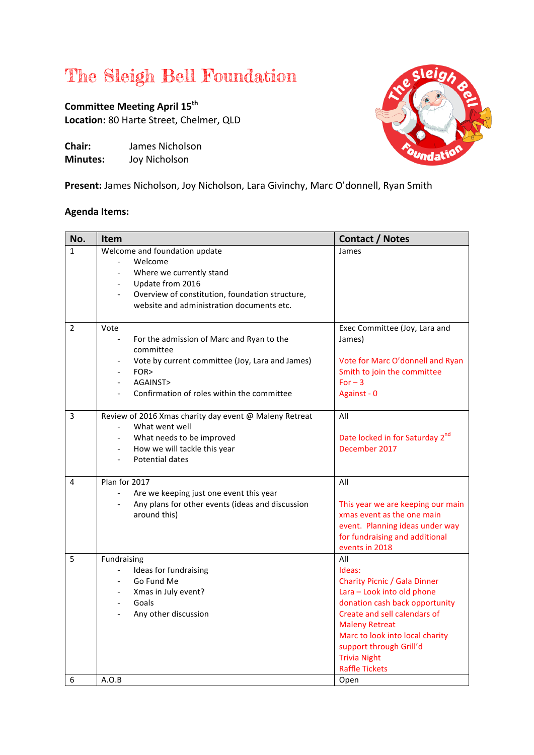## The Sleigh Bell Foundation

**Committee Meeting April 15<sup>th</sup>** Location: 80 Harte Street, Chelmer, QLD

**Chair:** James Nicholson **Minutes:** Joy Nicholson



Present: James Nicholson, Joy Nicholson, Lara Givinchy, Marc O'donnell, Ryan Smith

## **Agenda Items:**

| No.          | Item                                                                                                                                                                                                                 | <b>Contact / Notes</b>                                                                                                                                                                                                                                                                      |
|--------------|----------------------------------------------------------------------------------------------------------------------------------------------------------------------------------------------------------------------|---------------------------------------------------------------------------------------------------------------------------------------------------------------------------------------------------------------------------------------------------------------------------------------------|
| $\mathbf{1}$ | Welcome and foundation update<br>Welcome<br>Where we currently stand<br>Update from 2016<br>$\overline{\phantom{a}}$<br>Overview of constitution, foundation structure,<br>website and administration documents etc. | James                                                                                                                                                                                                                                                                                       |
| 2            | Vote<br>$\overline{\phantom{0}}$<br>For the admission of Marc and Ryan to the<br>committee<br>Vote by current committee (Joy, Lara and James)<br>FOR><br>AGAINST><br>Confirmation of roles within the committee      | Exec Committee (Joy, Lara and<br>James)<br>Vote for Marc O'donnell and Ryan<br>Smith to join the committee<br>$For -3$<br>Against - 0                                                                                                                                                       |
| 3            | Review of 2016 Xmas charity day event @ Maleny Retreat<br>What went well<br>What needs to be improved<br>How we will tackle this year<br>Potential dates                                                             | All<br>Date locked in for Saturday 2 <sup>nd</sup><br>December 2017                                                                                                                                                                                                                         |
| 4            | Plan for 2017<br>Are we keeping just one event this year<br>Any plans for other events (ideas and discussion<br>around this)                                                                                         | All<br>This year we are keeping our main<br>xmas event as the one main<br>event. Planning ideas under way<br>for fundraising and additional<br>events in 2018                                                                                                                               |
| 5            | Fundraising<br>Ideas for fundraising<br>$\overline{\phantom{0}}$<br>Go Fund Me<br>Xmas in July event?<br>Goals<br>Any other discussion                                                                               | All<br>Ideas:<br><b>Charity Picnic / Gala Dinner</b><br>Lara - Look into old phone<br>donation cash back opportunity<br>Create and sell calendars of<br><b>Maleny Retreat</b><br>Marc to look into local charity<br>support through Grill'd<br><b>Trivia Night</b><br><b>Raffle Tickets</b> |
| 6            | A.O.B                                                                                                                                                                                                                | Open                                                                                                                                                                                                                                                                                        |